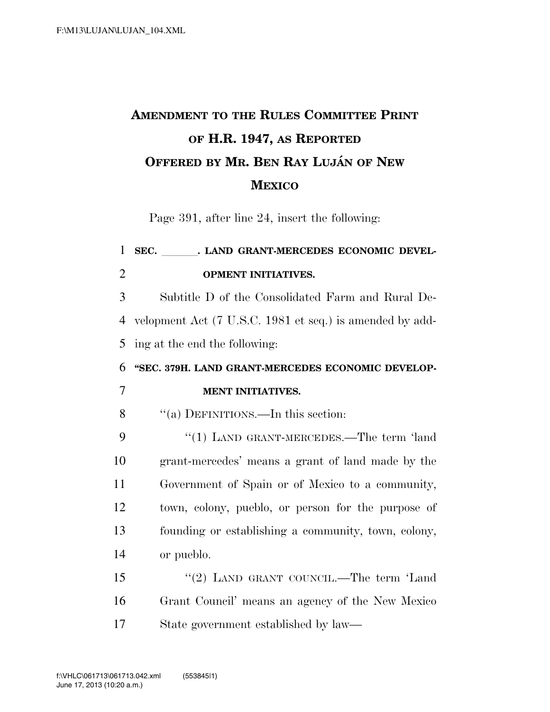## **AMENDMENT TO THE RULES COMMITTEE PRINT OF H.R. 1947, AS REPORTED OFFERED BY MR. BEN RAY LUJA´ N OF NEW MEXICO**

Page 391, after line 24, insert the following:

## 1 SEC. LAND GRANT-MERCEDES ECONOMIC DEVEL-2 **OPMENT INITIATIVES.**

3 Subtitle D of the Consolidated Farm and Rural De-4 velopment Act (7 U.S.C. 1981 et seq.) is amended by add-5 ing at the end the following:

## 6 **''SEC. 379H. LAND GRANT-MERCEDES ECONOMIC DEVELOP-**7 **MENT INITIATIVES.**

8 ''(a) DEFINITIONS.—In this section:

9 "(1) LAND GRANT-MERCEDES.—The term 'land grant-mercedes' means a grant of land made by the Government of Spain or of Mexico to a community, town, colony, pueblo, or person for the purpose of founding or establishing a community, town, colony, or pueblo.

15 "(2) LAND GRANT COUNCIL.—The term 'Land 16 Grant Council' means an agency of the New Mexico 17 State government established by law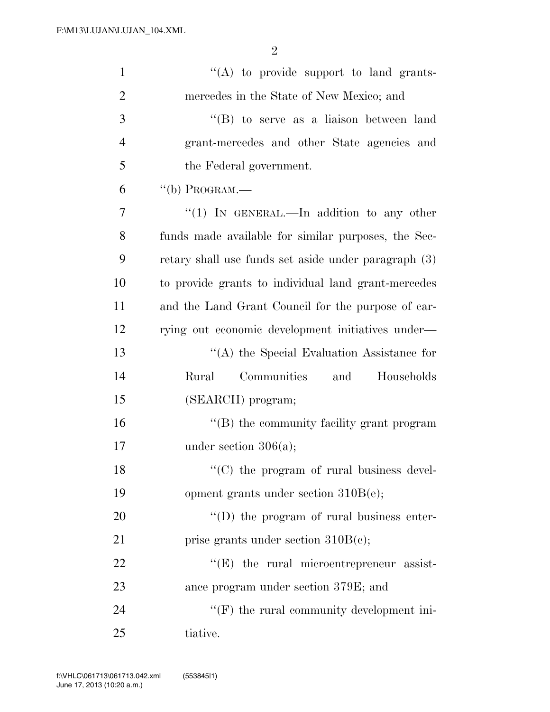| $\mathbf{1}$   | "(A) to provide support to land grants-              |
|----------------|------------------------------------------------------|
| $\overline{2}$ | mercedes in the State of New Mexico; and             |
| 3              | $\lq\lq (B)$ to serve as a liaison between land      |
| $\overline{4}$ | grant-mercedes and other State agencies and          |
| 5              | the Federal government.                              |
| 6              | $``$ (b) PROGRAM.—                                   |
| 7              | "(1) IN GENERAL.—In addition to any other            |
| 8              | funds made available for similar purposes, the Sec-  |
| 9              | retary shall use funds set aside under paragraph (3) |
| 10             | to provide grants to individual land grant-mercedes  |
| 11             | and the Land Grant Council for the purpose of car-   |
| 12             | rying out economic development initiatives under—    |
| 13             | "(A) the Special Evaluation Assistance for           |
| 14             | Communities<br>and<br>Rural<br>Households            |
| 15             | (SEARCH) program;                                    |
| 16             | "(B) the community facility grant program            |
| 17             | under section $306(a)$ ;                             |
| 18             | $\lq\lq$ (C) the program of rural business devel-    |
| 19             | opment grants under section $310B(e)$ ;              |
| 20             | "(D) the program of rural business enter-            |
| 21             | prise grants under section $310B(c)$ ;               |
| 22             | $\lq\lq(E)$ the rural microentrepreneur assist-      |
| 23             | ance program under section 379E; and                 |
| 24             | $\lq\lq(F)$ the rural community development ini-     |
| 25             | tiative.                                             |